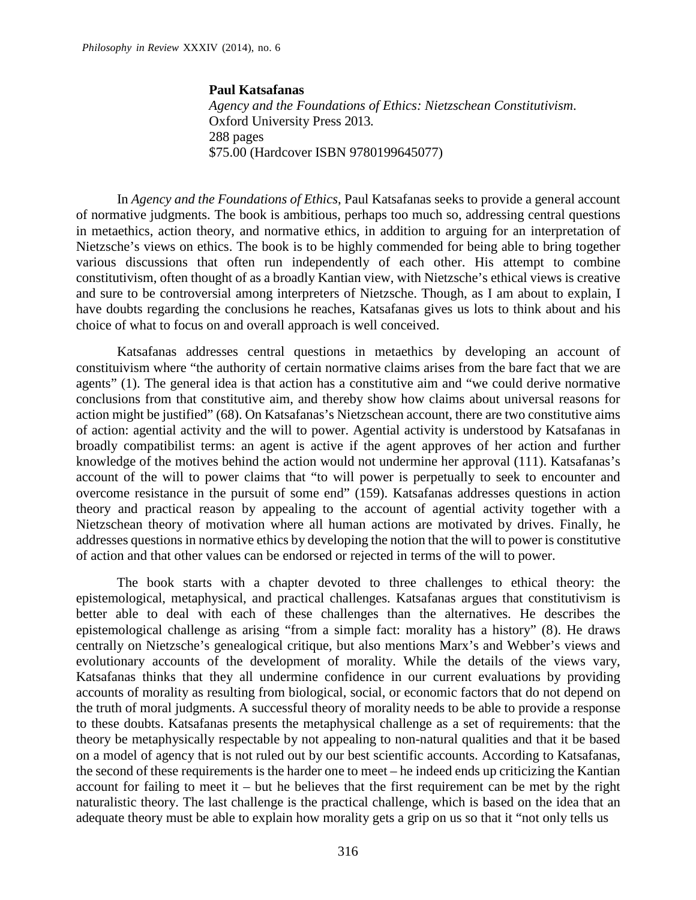## **Paul Katsafanas**

*Agency and the Foundations of Ethics: Nietzschean Constitutivism*. Oxford University Press 2013. 288 pages \$75.00 (Hardcover ISBN 9780199645077)

In *Agency and the Foundations of Ethics*, Paul Katsafanas seeks to provide a general account of normative judgments. The book is ambitious, perhaps too much so, addressing central questions in metaethics, action theory, and normative ethics, in addition to arguing for an interpretation of Nietzsche's views on ethics. The book is to be highly commended for being able to bring together various discussions that often run independently of each other. His attempt to combine constitutivism, often thought of as a broadly Kantian view, with Nietzsche's ethical views is creative and sure to be controversial among interpreters of Nietzsche. Though, as I am about to explain, I have doubts regarding the conclusions he reaches, Katsafanas gives us lots to think about and his choice of what to focus on and overall approach is well conceived.

Katsafanas addresses central questions in metaethics by developing an account of constituivism where "the authority of certain normative claims arises from the bare fact that we are agents" (1). The general idea is that action has a constitutive aim and "we could derive normative conclusions from that constitutive aim, and thereby show how claims about universal reasons for action might be justified" (68). On Katsafanas's Nietzschean account, there are two constitutive aims of action: agential activity and the will to power. Agential activity is understood by Katsafanas in broadly compatibilist terms: an agent is active if the agent approves of her action and further knowledge of the motives behind the action would not undermine her approval (111). Katsafanas's account of the will to power claims that "to will power is perpetually to seek to encounter and overcome resistance in the pursuit of some end" (159). Katsafanas addresses questions in action theory and practical reason by appealing to the account of agential activity together with a Nietzschean theory of motivation where all human actions are motivated by drives. Finally, he addresses questions in normative ethics by developing the notion that the will to power is constitutive of action and that other values can be endorsed or rejected in terms of the will to power.

The book starts with a chapter devoted to three challenges to ethical theory: the epistemological, metaphysical, and practical challenges. Katsafanas argues that constitutivism is better able to deal with each of these challenges than the alternatives. He describes the epistemological challenge as arising "from a simple fact: morality has a history" (8). He draws centrally on Nietzsche's genealogical critique, but also mentions Marx's and Webber's views and evolutionary accounts of the development of morality. While the details of the views vary, Katsafanas thinks that they all undermine confidence in our current evaluations by providing accounts of morality as resulting from biological, social, or economic factors that do not depend on the truth of moral judgments. A successful theory of morality needs to be able to provide a response to these doubts. Katsafanas presents the metaphysical challenge as a set of requirements: that the theory be metaphysically respectable by not appealing to non-natural qualities and that it be based on a model of agency that is not ruled out by our best scientific accounts. According to Katsafanas, the second of these requirements is the harder one to meet – he indeed ends up criticizing the Kantian account for failing to meet it – but he believes that the first requirement can be met by the right naturalistic theory. The last challenge is the practical challenge, which is based on the idea that an adequate theory must be able to explain how morality gets a grip on us so that it "not only tells us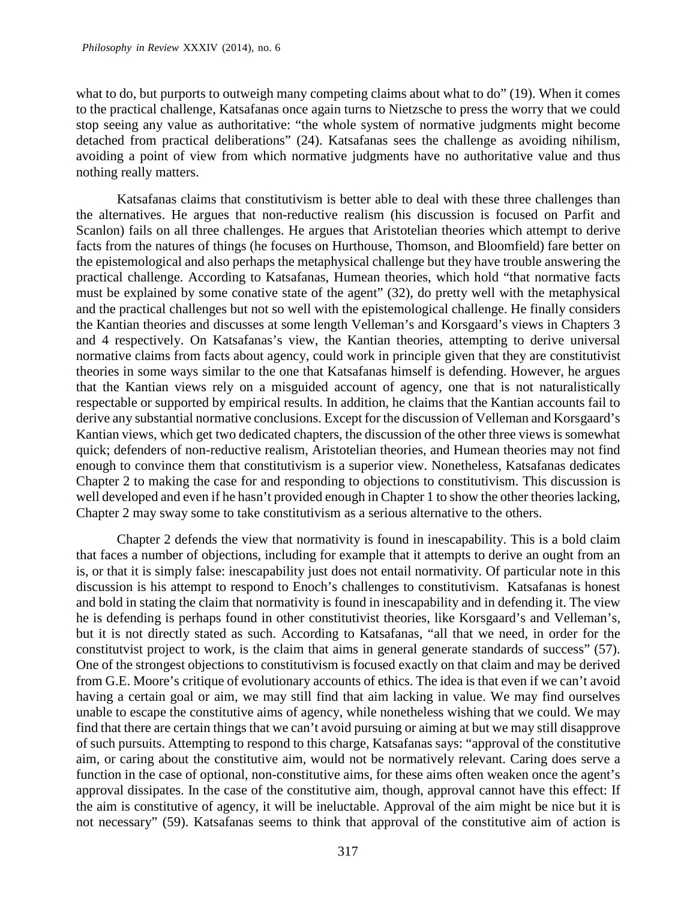what to do, but purports to outweigh many competing claims about what to do" (19). When it comes to the practical challenge, Katsafanas once again turns to Nietzsche to press the worry that we could stop seeing any value as authoritative: "the whole system of normative judgments might become detached from practical deliberations" (24). Katsafanas sees the challenge as avoiding nihilism, avoiding a point of view from which normative judgments have no authoritative value and thus nothing really matters.

Katsafanas claims that constitutivism is better able to deal with these three challenges than the alternatives. He argues that non-reductive realism (his discussion is focused on Parfit and Scanlon) fails on all three challenges. He argues that Aristotelian theories which attempt to derive facts from the natures of things (he focuses on Hurthouse, Thomson, and Bloomfield) fare better on the epistemological and also perhaps the metaphysical challenge but they have trouble answering the practical challenge. According to Katsafanas, Humean theories, which hold "that normative facts must be explained by some conative state of the agent" (32), do pretty well with the metaphysical and the practical challenges but not so well with the epistemological challenge. He finally considers the Kantian theories and discusses at some length Velleman's and Korsgaard's views in Chapters 3 and 4 respectively. On Katsafanas's view, the Kantian theories, attempting to derive universal normative claims from facts about agency, could work in principle given that they are constitutivist theories in some ways similar to the one that Katsafanas himself is defending. However, he argues that the Kantian views rely on a misguided account of agency, one that is not naturalistically respectable or supported by empirical results. In addition, he claims that the Kantian accounts fail to derive any substantial normative conclusions. Except for the discussion of Velleman and Korsgaard's Kantian views, which get two dedicated chapters, the discussion of the other three views is somewhat quick; defenders of non-reductive realism, Aristotelian theories, and Humean theories may not find enough to convince them that constitutivism is a superior view. Nonetheless, Katsafanas dedicates Chapter 2 to making the case for and responding to objections to constitutivism. This discussion is well developed and even if he hasn't provided enough in Chapter 1 to show the other theories lacking, Chapter 2 may sway some to take constitutivism as a serious alternative to the others.

Chapter 2 defends the view that normativity is found in inescapability. This is a bold claim that faces a number of objections, including for example that it attempts to derive an ought from an is, or that it is simply false: inescapability just does not entail normativity. Of particular note in this discussion is his attempt to respond to Enoch's challenges to constitutivism. Katsafanas is honest and bold in stating the claim that normativity is found in inescapability and in defending it. The view he is defending is perhaps found in other constitutivist theories, like Korsgaard's and Velleman's, but it is not directly stated as such. According to Katsafanas, "all that we need, in order for the constitutvist project to work, is the claim that aims in general generate standards of success" (57). One of the strongest objections to constitutivism is focused exactly on that claim and may be derived from G.E. Moore's critique of evolutionary accounts of ethics. The idea is that even if we can't avoid having a certain goal or aim, we may still find that aim lacking in value. We may find ourselves unable to escape the constitutive aims of agency, while nonetheless wishing that we could. We may find that there are certain things that we can't avoid pursuing or aiming at but we may still disapprove of such pursuits. Attempting to respond to this charge, Katsafanas says: "approval of the constitutive aim, or caring about the constitutive aim, would not be normatively relevant. Caring does serve a function in the case of optional, non-constitutive aims, for these aims often weaken once the agent's approval dissipates. In the case of the constitutive aim, though, approval cannot have this effect: If the aim is constitutive of agency, it will be ineluctable. Approval of the aim might be nice but it is not necessary" (59). Katsafanas seems to think that approval of the constitutive aim of action is